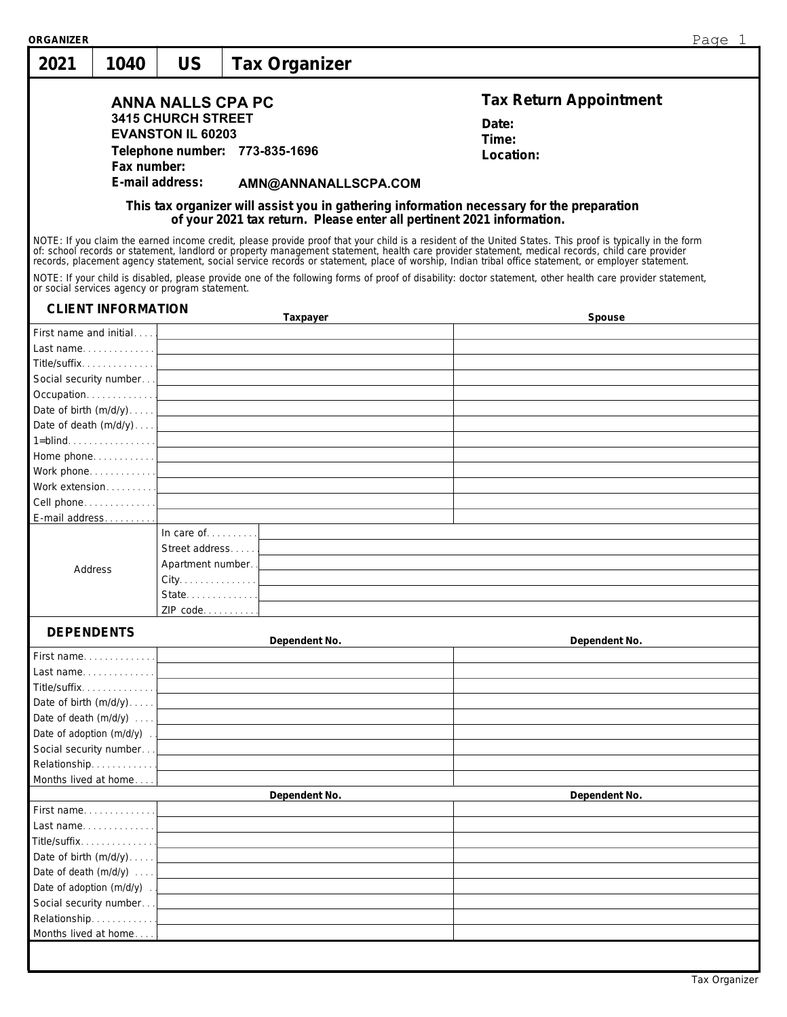| ORGANIZER         |                                                    |                                                                                   |                                                                                                                      | Page 1                                                                                                                                                                                                                                                                                                                                                                                      |
|-------------------|----------------------------------------------------|-----------------------------------------------------------------------------------|----------------------------------------------------------------------------------------------------------------------|---------------------------------------------------------------------------------------------------------------------------------------------------------------------------------------------------------------------------------------------------------------------------------------------------------------------------------------------------------------------------------------------|
| 2021              | 1040                                               | <b>US</b>                                                                         | Tax Organizer                                                                                                        |                                                                                                                                                                                                                                                                                                                                                                                             |
|                   |                                                    | <b>ANNA NALLS CPA PC</b><br><b>3415 CHURCH STREET</b><br><b>EVANSTON IL 60203</b> | Telephone number: 773-835-1696                                                                                       | Tax Return Appointment<br>Date:<br>Time:<br>Location:                                                                                                                                                                                                                                                                                                                                       |
|                   | Fax number:                                        | E-mail address:                                                                   |                                                                                                                      |                                                                                                                                                                                                                                                                                                                                                                                             |
|                   |                                                    |                                                                                   | AMN@ANNANALLSCPA.COM                                                                                                 |                                                                                                                                                                                                                                                                                                                                                                                             |
|                   |                                                    |                                                                                   |                                                                                                                      | This tax organizer will assist you in gathering information necessary for the preparation of your 2021 tax return. Please enter all pertinent 2021 information.                                                                                                                                                                                                                             |
|                   |                                                    |                                                                                   |                                                                                                                      | NOTE: If you claim the earned income credit, please provide proof that your child is a resident of the United States. This proof is typically in the form<br>of: school records or statement, landlord or property management statement, health care provider statement, medical records, child care provider records, placement agency statement, social service records or statement, pla |
|                   |                                                    | or social services agency or program statement.                                   |                                                                                                                      | NOTE: If your child is disabled, please provide one of the following forms of proof of disability: doctor statement, other health care provider statement,                                                                                                                                                                                                                                  |
|                   | <b>CLIENT INFORMATION</b>                          |                                                                                   | Taxpayer                                                                                                             | Spouse                                                                                                                                                                                                                                                                                                                                                                                      |
|                   |                                                    |                                                                                   |                                                                                                                      |                                                                                                                                                                                                                                                                                                                                                                                             |
|                   |                                                    |                                                                                   |                                                                                                                      |                                                                                                                                                                                                                                                                                                                                                                                             |
|                   | Title/suffix. 1                                    |                                                                                   | <u> 1980 - Johann Stein, marwolaethau a bhann an t-Amhair an t-Amhair an t-Amhair an t-Amhair an t-Amhair an t-A</u> |                                                                                                                                                                                                                                                                                                                                                                                             |
|                   |                                                    |                                                                                   |                                                                                                                      |                                                                                                                                                                                                                                                                                                                                                                                             |
|                   |                                                    |                                                                                   | Date of birth $(m/d/y)$                                                                                              |                                                                                                                                                                                                                                                                                                                                                                                             |
|                   |                                                    |                                                                                   | Date of death $(m/d/y) \dots$                                                                                        |                                                                                                                                                                                                                                                                                                                                                                                             |
|                   |                                                    |                                                                                   | $1 = \text{blind} \ldots \ldots \ldots \ldots \ldots$                                                                |                                                                                                                                                                                                                                                                                                                                                                                             |
|                   |                                                    |                                                                                   |                                                                                                                      |                                                                                                                                                                                                                                                                                                                                                                                             |
|                   |                                                    |                                                                                   |                                                                                                                      |                                                                                                                                                                                                                                                                                                                                                                                             |
|                   |                                                    |                                                                                   |                                                                                                                      |                                                                                                                                                                                                                                                                                                                                                                                             |
|                   |                                                    |                                                                                   |                                                                                                                      |                                                                                                                                                                                                                                                                                                                                                                                             |
|                   | E-mail address                                     |                                                                                   |                                                                                                                      |                                                                                                                                                                                                                                                                                                                                                                                             |
|                   |                                                    | In care of $\dots$                                                                |                                                                                                                      |                                                                                                                                                                                                                                                                                                                                                                                             |
|                   |                                                    | Street address                                                                    |                                                                                                                      |                                                                                                                                                                                                                                                                                                                                                                                             |
| Address           |                                                    | Apartment number.                                                                 |                                                                                                                      |                                                                                                                                                                                                                                                                                                                                                                                             |
|                   |                                                    |                                                                                   |                                                                                                                      |                                                                                                                                                                                                                                                                                                                                                                                             |
|                   |                                                    | State                                                                             |                                                                                                                      |                                                                                                                                                                                                                                                                                                                                                                                             |
|                   |                                                    | ZIP code                                                                          |                                                                                                                      |                                                                                                                                                                                                                                                                                                                                                                                             |
| <b>DEPENDENTS</b> |                                                    |                                                                                   |                                                                                                                      |                                                                                                                                                                                                                                                                                                                                                                                             |
|                   |                                                    |                                                                                   | Dependent No.                                                                                                        | Dependent No.                                                                                                                                                                                                                                                                                                                                                                               |
|                   | First name                                         |                                                                                   |                                                                                                                      |                                                                                                                                                                                                                                                                                                                                                                                             |
|                   | Last name                                          |                                                                                   |                                                                                                                      |                                                                                                                                                                                                                                                                                                                                                                                             |
|                   | Title/suffix                                       |                                                                                   |                                                                                                                      |                                                                                                                                                                                                                                                                                                                                                                                             |
|                   | Date of birth $(m/d/y)$                            |                                                                                   |                                                                                                                      |                                                                                                                                                                                                                                                                                                                                                                                             |
|                   | Date of death $(m/d/y)$                            |                                                                                   |                                                                                                                      |                                                                                                                                                                                                                                                                                                                                                                                             |
|                   | Date of adoption $(m/d/y)$ .                       |                                                                                   |                                                                                                                      |                                                                                                                                                                                                                                                                                                                                                                                             |
|                   | Social security number                             |                                                                                   |                                                                                                                      |                                                                                                                                                                                                                                                                                                                                                                                             |
|                   | Relationship                                       |                                                                                   |                                                                                                                      |                                                                                                                                                                                                                                                                                                                                                                                             |
|                   | Months lived at home                               |                                                                                   |                                                                                                                      |                                                                                                                                                                                                                                                                                                                                                                                             |
|                   |                                                    |                                                                                   | Dependent No.                                                                                                        | Dependent No.                                                                                                                                                                                                                                                                                                                                                                               |
|                   | First name<br>Last name                            |                                                                                   |                                                                                                                      |                                                                                                                                                                                                                                                                                                                                                                                             |
|                   | Title/suffix.                                      |                                                                                   |                                                                                                                      |                                                                                                                                                                                                                                                                                                                                                                                             |
|                   |                                                    |                                                                                   |                                                                                                                      |                                                                                                                                                                                                                                                                                                                                                                                             |
|                   | Date of birth $(m/d/y)$<br>Date of death $(m/d/y)$ |                                                                                   |                                                                                                                      |                                                                                                                                                                                                                                                                                                                                                                                             |
|                   | Date of adoption $(m/d/y)$ .                       |                                                                                   |                                                                                                                      |                                                                                                                                                                                                                                                                                                                                                                                             |
|                   |                                                    |                                                                                   |                                                                                                                      |                                                                                                                                                                                                                                                                                                                                                                                             |
|                   | Social security number<br>Relationship             |                                                                                   |                                                                                                                      |                                                                                                                                                                                                                                                                                                                                                                                             |
|                   | Months lived at home                               |                                                                                   | <u> 1990 - Andrea Station Books, ameri</u> kansk kon                                                                 |                                                                                                                                                                                                                                                                                                                                                                                             |
|                   |                                                    |                                                                                   |                                                                                                                      |                                                                                                                                                                                                                                                                                                                                                                                             |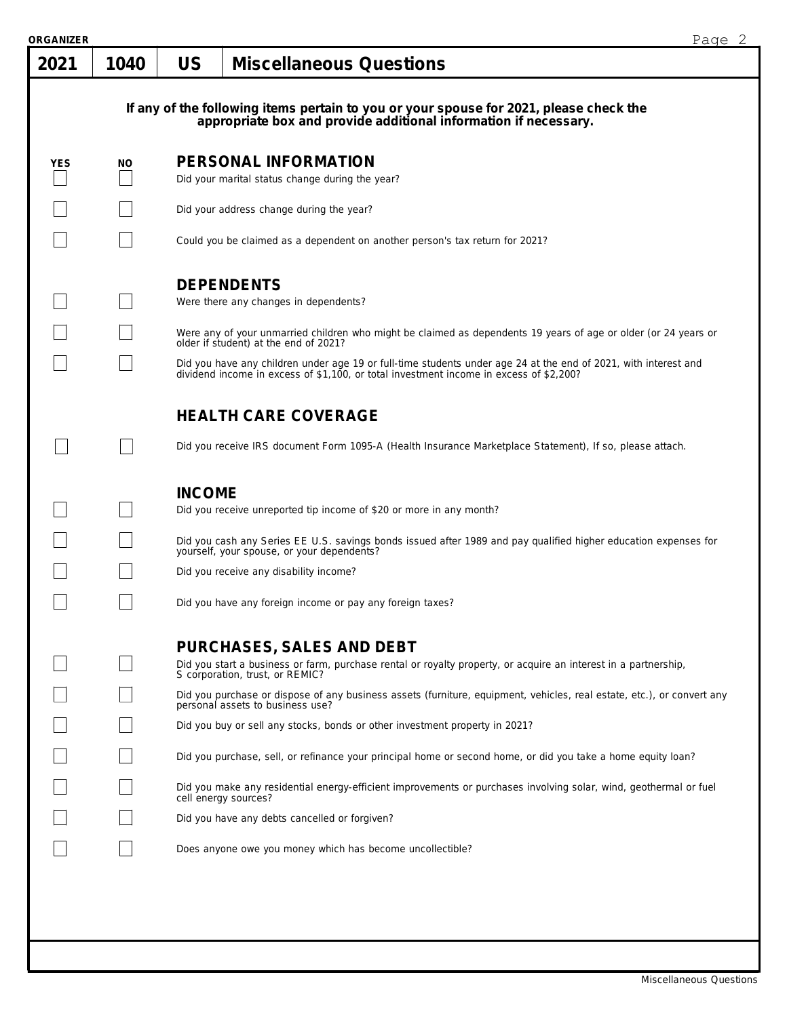| ORGANIZER  |      |               |                                                                                                                                                                                                           | Page 2 |
|------------|------|---------------|-----------------------------------------------------------------------------------------------------------------------------------------------------------------------------------------------------------|--------|
| 2021       | 1040 | <b>US</b>     | <b>Miscellaneous Questions</b>                                                                                                                                                                            |        |
|            |      |               | If any of the following items pertain to you or your spouse for 2021, please check the<br>appropriate box and provide additional information if necessary.                                                |        |
| <b>YES</b> | NO.  |               | PERSONAL INFORMATION                                                                                                                                                                                      |        |
|            |      |               | Did your marital status change during the year?                                                                                                                                                           |        |
|            |      |               | Did your address change during the year?                                                                                                                                                                  |        |
|            |      |               | Could you be claimed as a dependent on another person's tax return for 2021?                                                                                                                              |        |
|            |      |               | <b>DEPENDENTS</b><br>Were there any changes in dependents?                                                                                                                                                |        |
|            |      |               | Were any of your unmarried children who might be claimed as dependents 19 years of age or older (or 24 years or<br>older if student) at the end of 2021?                                                  |        |
|            |      |               | Did you have any children under age 19 or full-time students under age 24 at the end of 2021, with interest and<br>dividend income in excess of \$1,100, or total investment income in excess of \$2,200? |        |
|            |      |               | <b>HEALTH CARE COVERAGE</b>                                                                                                                                                                               |        |
|            |      |               | Did you receive IRS document Form 1095-A (Health Insurance Marketplace Statement), If so, please attach.                                                                                                  |        |
|            |      | <b>INCOME</b> | Did you receive unreported tip income of \$20 or more in any month?                                                                                                                                       |        |
|            |      |               | Did you cash any Series EE U.S. savings bonds issued after 1989 and pay qualified higher education expenses for<br>yourself, your spouse, or your dependents?                                             |        |
|            |      |               | Did you receive any disability income?                                                                                                                                                                    |        |
|            |      |               | Did you have any foreign income or pay any foreign taxes?                                                                                                                                                 |        |
|            |      |               | PURCHASES, SALES AND DEBT<br>Did you start a business or farm, purchase rental or royalty property, or acquire an interest in a partnership,<br>S corporation, trust, or REMIC?                           |        |
|            |      |               | Did you purchase or dispose of any business assets (furniture, equipment, vehicles, real estate, etc.), or convert any<br>personal assets to business use?                                                |        |
|            |      |               | Did you buy or sell any stocks, bonds or other investment property in 2021?                                                                                                                               |        |
|            |      |               | Did you purchase, sell, or refinance your principal home or second home, or did you take a home equity loan?                                                                                              |        |
|            |      |               | Did you make any residential energy-efficient improvements or purchases involving solar, wind, geothermal or fuel<br>cell energy sources?                                                                 |        |
|            |      |               | Did you have any debts cancelled or forgiven?                                                                                                                                                             |        |
|            |      |               | Does anyone owe you money which has become uncollectible?                                                                                                                                                 |        |
|            |      |               |                                                                                                                                                                                                           |        |
|            |      |               |                                                                                                                                                                                                           |        |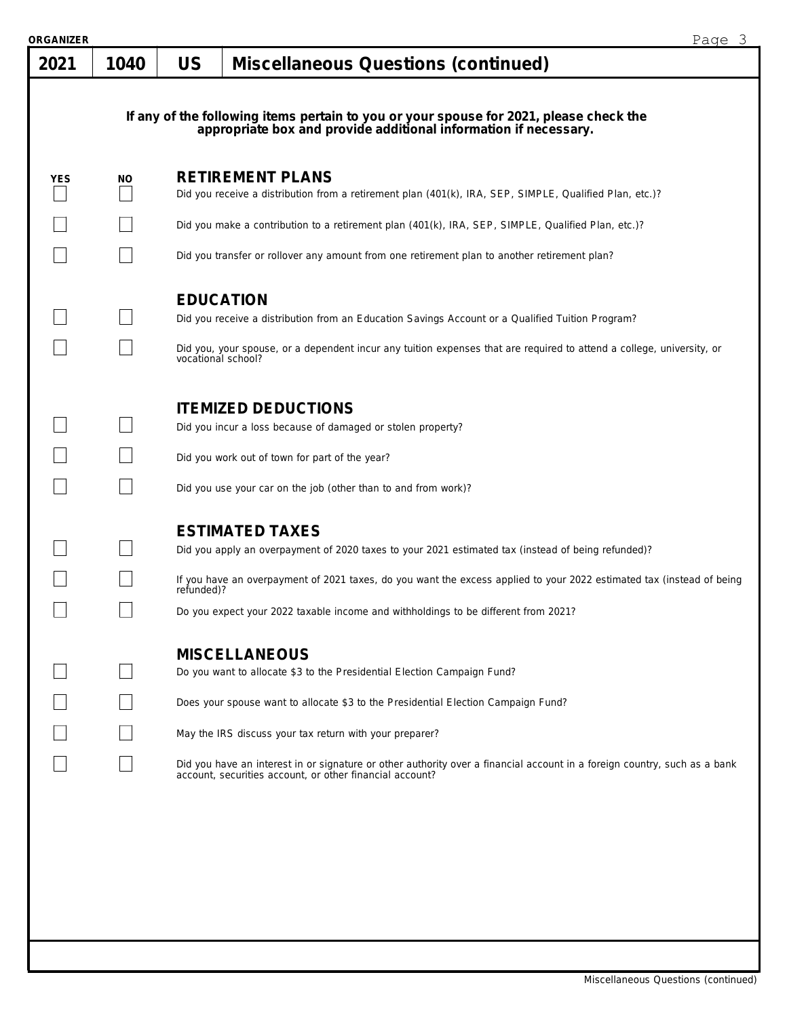| ORGANIZER |      |                    | Page 3                                                                                                                                                                                                                                                |  |
|-----------|------|--------------------|-------------------------------------------------------------------------------------------------------------------------------------------------------------------------------------------------------------------------------------------------------|--|
| 2021      | 1040 | US                 | Miscellaneous Questions (continued)                                                                                                                                                                                                                   |  |
|           |      |                    | If any of the following items pertain to you or your spouse for 2021, please check the appropriate box and provide additional information if necessary.                                                                                               |  |
| YES       | ΝO   |                    | <b>RETIREMENT PLANS</b><br>Did you receive a distribution from a retirement plan (401(k), IRA, SEP, SIMPLE, Qualified Plan, etc.)?                                                                                                                    |  |
|           |      |                    | Did you make a contribution to a retirement plan (401(k), IRA, SEP, SIMPLE, Qualified Plan, etc.)?                                                                                                                                                    |  |
|           |      |                    | Did you transfer or rollover any amount from one retirement plan to another retirement plan?                                                                                                                                                          |  |
|           |      | <b>EDUCATION</b>   | Did you receive a distribution from an Education Savings Account or a Qualified Tuition Program?<br>Did you, your spouse, or a dependent incur any tuition expenses that are required to attend a college, university, or                             |  |
|           |      | vocational school? | <b>ITEMIZED DEDUCTIONS</b><br>Did you incur a loss because of damaged or stolen property?                                                                                                                                                             |  |
|           |      |                    |                                                                                                                                                                                                                                                       |  |
|           |      |                    | Did you work out of town for part of the year?<br>Did you use your car on the job (other than to and from work)?                                                                                                                                      |  |
|           |      |                    | <b>ESTIMATED TAXES</b><br>Did you apply an overpayment of 2020 taxes to your 2021 estimated tax (instead of being refunded)?<br>If you have an overpayment of 2021 taxes, do you want the excess applied to your 2022 estimated tax (instead of being |  |
|           |      | refunded)?         | Do you expect your 2022 taxable income and withholdings to be different from 2021?                                                                                                                                                                    |  |
|           |      |                    | <b>MISCELLANEOUS</b><br>Do you want to allocate \$3 to the Presidential Election Campaign Fund?<br>Does your spouse want to allocate \$3 to the Presidential Election Campaign Fund?<br>May the IRS discuss your tax return with your preparer?       |  |
|           |      |                    | Did you have an interest in or signature or other authority over a financial account in a foreign country, such as a bank<br>account, securities account, or other financial account?                                                                 |  |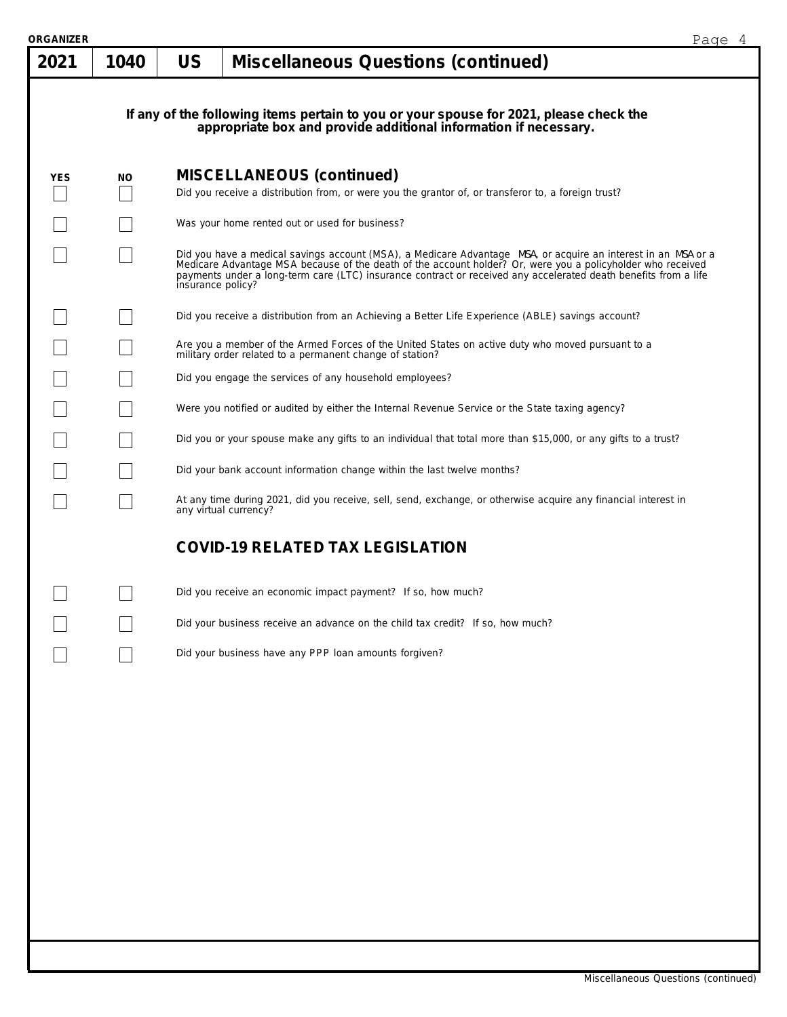| <b>ORGANIZER</b> |      |                   |                                                                                                                                                                                                                                                                                                                                                 | Page 4 |
|------------------|------|-------------------|-------------------------------------------------------------------------------------------------------------------------------------------------------------------------------------------------------------------------------------------------------------------------------------------------------------------------------------------------|--------|
| 2021             | 1040 | <b>US</b>         | <b>Miscellaneous Questions (continued)</b>                                                                                                                                                                                                                                                                                                      |        |
|                  |      |                   |                                                                                                                                                                                                                                                                                                                                                 |        |
|                  |      |                   | If any of the following items pertain to you or your spouse for 2021, please check the appropriate box and provide additional information if necessary.                                                                                                                                                                                         |        |
|                  |      |                   |                                                                                                                                                                                                                                                                                                                                                 |        |
| <b>YES</b>       | NO.  |                   | <b>MISCELLANEOUS (continued)</b>                                                                                                                                                                                                                                                                                                                |        |
|                  |      |                   | Did you receive a distribution from, or were you the grantor of, or transferor to, a foreign trust?                                                                                                                                                                                                                                             |        |
|                  |      |                   | Was your home rented out or used for business?                                                                                                                                                                                                                                                                                                  |        |
|                  |      | insurance policy? | Did you have a medical savings account (MSA), a Medicare Advantage MSA, or acquire an interest in an MSA or a<br>Medicare Advantage MSA because of the death of the account holder? Or, were you a policyholder who received<br>payments under a long-term care (LTC) insurance contract or received any accelerated death benefits from a life |        |
|                  |      |                   | Did you receive a distribution from an Achieving a Better Life Experience (ABLE) savings account?                                                                                                                                                                                                                                               |        |
|                  |      |                   | Are you a member of the Armed Forces of the United States on active duty who moved pursuant to a<br>military order related to a permanent change of station?                                                                                                                                                                                    |        |
|                  |      |                   | Did you engage the services of any household employees?                                                                                                                                                                                                                                                                                         |        |
|                  |      |                   | Were you notified or audited by either the Internal Revenue Service or the State taxing agency?                                                                                                                                                                                                                                                 |        |
|                  |      |                   | Did you or your spouse make any gifts to an individual that total more than \$15,000, or any gifts to a trust?                                                                                                                                                                                                                                  |        |
|                  |      |                   | Did your bank account information change within the last twelve months?                                                                                                                                                                                                                                                                         |        |
|                  |      |                   | At any time during 2021, did you receive, sell, send, exchange, or otherwise acquire any financial interest in<br>any virtual currency?                                                                                                                                                                                                         |        |
|                  |      |                   | <b>COVID-19 RELATED TAX LEGISLATION</b>                                                                                                                                                                                                                                                                                                         |        |
|                  |      |                   | Did you receive an economic impact payment? If so, how much?                                                                                                                                                                                                                                                                                    |        |
|                  |      |                   | Did your business receive an advance on the child tax credit? If so, how much?                                                                                                                                                                                                                                                                  |        |
|                  |      |                   | Did your business have any PPP loan amounts forgiven?                                                                                                                                                                                                                                                                                           |        |
|                  |      |                   |                                                                                                                                                                                                                                                                                                                                                 |        |
|                  |      |                   |                                                                                                                                                                                                                                                                                                                                                 |        |
|                  |      |                   |                                                                                                                                                                                                                                                                                                                                                 |        |
|                  |      |                   |                                                                                                                                                                                                                                                                                                                                                 |        |
|                  |      |                   |                                                                                                                                                                                                                                                                                                                                                 |        |
|                  |      |                   |                                                                                                                                                                                                                                                                                                                                                 |        |
|                  |      |                   |                                                                                                                                                                                                                                                                                                                                                 |        |
|                  |      |                   |                                                                                                                                                                                                                                                                                                                                                 |        |
|                  |      |                   |                                                                                                                                                                                                                                                                                                                                                 |        |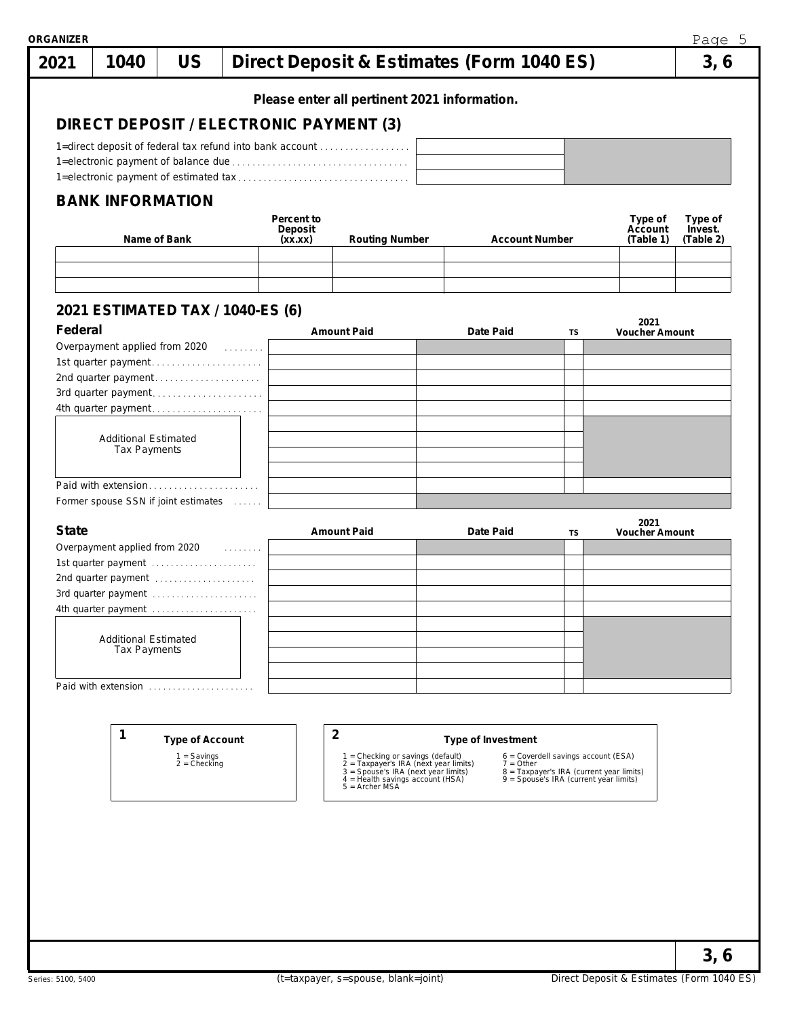|              |                                            |                                 |                                  |            | Please enter all pertinent 2021 information.                                                                                                                              |  |                       |                                                                                    |                               |           |
|--------------|--------------------------------------------|---------------------------------|----------------------------------|------------|---------------------------------------------------------------------------------------------------------------------------------------------------------------------------|--|-----------------------|------------------------------------------------------------------------------------|-------------------------------|-----------|
|              |                                            |                                 |                                  |            | DIRECT DEPOSIT / ELECTRONIC PAYMENT (3)                                                                                                                                   |  |                       |                                                                                    |                               |           |
|              |                                            |                                 |                                  |            | 1=direct deposit of federal tax refund into bank account                                                                                                                  |  |                       |                                                                                    |                               |           |
|              |                                            |                                 |                                  |            |                                                                                                                                                                           |  |                       |                                                                                    |                               |           |
|              |                                            |                                 |                                  |            |                                                                                                                                                                           |  |                       |                                                                                    |                               |           |
|              | <b>BANK INFORMATION</b>                    |                                 |                                  | Percent to |                                                                                                                                                                           |  |                       |                                                                                    | Type of                       |           |
| Name of Bank |                                            |                                 | Deposit<br><b>Routing Number</b> |            |                                                                                                                                                                           |  | Account               |                                                                                    | Type of<br>Invest.            |           |
|              |                                            |                                 |                                  | (xx.xx)    |                                                                                                                                                                           |  | <b>Account Number</b> |                                                                                    | (Table 1)                     | (Table 2) |
|              |                                            |                                 |                                  |            |                                                                                                                                                                           |  |                       |                                                                                    |                               |           |
|              |                                            |                                 |                                  |            |                                                                                                                                                                           |  |                       |                                                                                    |                               |           |
|              | 2021 ESTIMATED TAX / 1040-ES (6)           |                                 |                                  |            |                                                                                                                                                                           |  |                       |                                                                                    |                               |           |
| Federal      |                                            |                                 |                                  |            | <b>Amount Paid</b>                                                                                                                                                        |  | Date Paid             | TS                                                                                 | 2021<br><b>Voucher Amount</b> |           |
|              |                                            |                                 |                                  |            |                                                                                                                                                                           |  |                       |                                                                                    |                               |           |
|              | 1st quarter payment                        |                                 |                                  |            |                                                                                                                                                                           |  |                       |                                                                                    |                               |           |
|              | 2nd quarter payment                        |                                 |                                  |            |                                                                                                                                                                           |  |                       |                                                                                    |                               |           |
|              | 3rd quarter payment<br>4th quarter payment |                                 |                                  |            |                                                                                                                                                                           |  |                       |                                                                                    |                               |           |
|              |                                            |                                 |                                  |            |                                                                                                                                                                           |  |                       |                                                                                    |                               |           |
|              | <b>Additional Estimated</b>                |                                 |                                  |            |                                                                                                                                                                           |  |                       |                                                                                    |                               |           |
|              | Tax Payments                               |                                 |                                  |            |                                                                                                                                                                           |  |                       |                                                                                    |                               |           |
|              |                                            |                                 |                                  |            |                                                                                                                                                                           |  |                       |                                                                                    |                               |           |
|              |                                            |                                 |                                  |            |                                                                                                                                                                           |  |                       |                                                                                    |                               |           |
|              | Paid with extension                        |                                 |                                  |            |                                                                                                                                                                           |  |                       |                                                                                    |                               |           |
|              | Former spouse SSN if joint estimates       |                                 |                                  |            |                                                                                                                                                                           |  |                       |                                                                                    |                               |           |
| <b>State</b> |                                            |                                 |                                  |            | <b>Amount Paid</b>                                                                                                                                                        |  | Date Paid             | TS                                                                                 | 2021<br><b>Voucher Amount</b> |           |
|              | Overpayment applied from 2020              |                                 | a sa sa salawa                   |            |                                                                                                                                                                           |  |                       |                                                                                    |                               |           |
|              | 1st quarter payment                        |                                 |                                  |            |                                                                                                                                                                           |  |                       |                                                                                    |                               |           |
|              | 2nd quarter payment                        |                                 |                                  |            |                                                                                                                                                                           |  |                       |                                                                                    |                               |           |
|              | 3rd quarter payment<br>4th quarter payment |                                 |                                  |            |                                                                                                                                                                           |  |                       |                                                                                    |                               |           |
|              |                                            |                                 |                                  |            |                                                                                                                                                                           |  |                       |                                                                                    |                               |           |
|              | <b>Additional Estimated</b>                |                                 |                                  |            |                                                                                                                                                                           |  |                       |                                                                                    |                               |           |
|              | Tax Payments                               |                                 |                                  |            |                                                                                                                                                                           |  |                       |                                                                                    |                               |           |
|              |                                            |                                 |                                  |            |                                                                                                                                                                           |  |                       |                                                                                    |                               |           |
|              |                                            |                                 |                                  |            |                                                                                                                                                                           |  |                       |                                                                                    |                               |           |
|              |                                            |                                 |                                  |            |                                                                                                                                                                           |  |                       |                                                                                    |                               |           |
|              | 1                                          | <b>Type of Account</b>          |                                  |            | $\overline{2}$                                                                                                                                                            |  | Type of Investment    |                                                                                    |                               |           |
|              |                                            |                                 |                                  |            |                                                                                                                                                                           |  |                       | 6 = Coverdell savings account (ESA)                                                |                               |           |
|              |                                            | $1 =$ Savings<br>$2 =$ Checking |                                  |            |                                                                                                                                                                           |  | $7 = Other$           |                                                                                    |                               |           |
|              |                                            |                                 |                                  |            | 1 = Checking or savings (default)<br>2 = Taxpayer's IRA (next year limits)<br>3 = Spouse's IRA (next year limits)<br>4 = Health savings account (HSA)<br>$5 =$ Archer MSA |  |                       | 8 = Taxpayer's IRA (current year limits)<br>9 = Spouse's IRA (current year limits) |                               |           |
|              |                                            |                                 |                                  |            |                                                                                                                                                                           |  |                       |                                                                                    |                               |           |
|              |                                            |                                 |                                  |            |                                                                                                                                                                           |  |                       |                                                                                    |                               |           |
|              |                                            |                                 |                                  |            |                                                                                                                                                                           |  |                       |                                                                                    |                               |           |
|              |                                            |                                 |                                  |            |                                                                                                                                                                           |  |                       |                                                                                    |                               |           |
|              |                                            |                                 |                                  |            |                                                                                                                                                                           |  |                       |                                                                                    |                               |           |